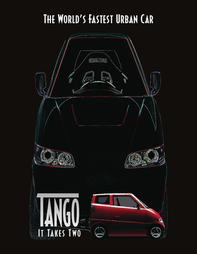### The World's Fastest Urban Car

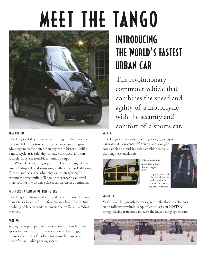# meet the tango



#### beat traffic

The Tango's ability to maneuver through traffic is second to none. Like a motorcycle, it can change lanes to gain advantage in traffic better than any car in history. Unlike a motorcycle, it is safe, dry, climate controlled, and can securely carry a reasonable amount of cargo.

Where lane splitting is permitted (i.e., driving between lanes of stopped or slow-moving traffic), such as California, Europe, and Asia, the advantage can be staggering. In extremely heavy traffic, a Tango or motorcycle can travel in 20 seconds the distance that a car travels in 20 minutes.

#### help forge a congestion-free future

TheTango can fit in a 6-foot half-lane with more clearance than a truck has in a full 12-foot freeway lane.This virtual doubling of lane capacity can make the traffic jam a fading memory.

#### parking

ATango can park perpendicular to the curb, in left-over spaces between cars or driveways, next to buildings, or in unused corners of parking lots—in thousands of heretofore-unusable parking spaces.

## introducing the world's fastest urban car

The revolutionary commuter vehicle that combines the speed and agility of a motorcycle with the security and comfort of a sports car.

#### safety

The Tango's racecar-style roll cage design, its 4-point harnesses, its low center of gravity, and a weight comparable to a midsize sedan combine to make theTango extremely safe.



Side protection is more than 4 times that of a typical SUV.

4-point pilot seat belts with inertia reels are similar to a race car harness, but easy to get into.



#### stability

With 2,000 lbs. (mostly batteries) under the floor, the Tango's static rollover threshold is equivalent to a 5-star NHTSA rating, placing it in company with the lowest slung sports cars.

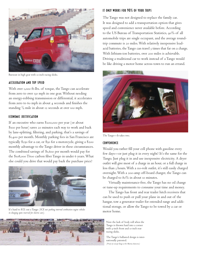

Burnout in high gear with 10-inch racing slicks.

#### acceleration and top speed

With over 1,000 ft-lbs. of torque, the Tango can accelerate from zero to over 130 mph in one gear.Without needing an energy-robbing transmission or differential, it accelerates from zero to 60 mph in about  $4$  seconds and finishes the standing  $\frac{1}{4}$  mile in about 12 seconds at over 100 mph. ⁄

#### economic justification

If an executive who earns \$200,000 per year (or about \$100 per hour) saves 20 minutes each way to work and back by lane-splitting, filtering, and parking, that's a savings of \$1,400 per month. Monthly parking fees in San Francisco are typically \$250 for a car, or \$50 for a motorcycle, giving a \$200 monthly advantage to theTango driver in these circumstances. The combined savings of \$1,600 per month would pay for the \$108,000T600 carbon fiberTango in under 6 years.What else could you drive that would pay back the purchase price?



It's hard to ICE out aTango *(ICE out: parking internal combustion engine vehicles in charging spots reserved for electric cars).*

#### it only works for 90% of your trips

TheTango was not designed to replace the family car. It was designed to add a transportation option that gives speed and convenience never available before. According to the US Bureau of Transportation Statistics, 90% of all automobile trips are single occupant, and the average roundtrip commute is 20 miles.With relatively inexpensive leadacid batteries, the Tango can travel 3 times that far on a charge. With lithium-ion batteries, over 200 miles is achievable. Driving a traditional car to work instead of aTango would be like driving a motor home across town to run an errand.



The Tango-It takes two.

#### convenience

Would you rather fill your cell phone with gasoline every few days—or just plug it in every night? It's the same for the Tango. Just plug it in and use inexpensive electricity. A dryer outlet will give most of a charge in an hour, or a full charge in less than 3 hours.With a 110-volt outlet, it's still easily charged overnight.With a 200-amp off-board charger, theTango can be charged to 80% in about 10 minutes.

Virtually maintenance-free, theTango has no oil change or tune-up requirements to consume your time and money.

The Tango has front and rear trailer hitch receivers that can be used to push or pull your plane in and out of the hangar, tow a generator trailer for extended range and additional storage, or allow theTango to be towed by a car or motor home.



Note the lack of body roll when the Tango is thrown hard into a corner with 9-inch front and 10-inch rear racing slicks.

TheTango's ballasted design is internationally patented. *(Proof-of-concept Tango at the Marina Autocross)*